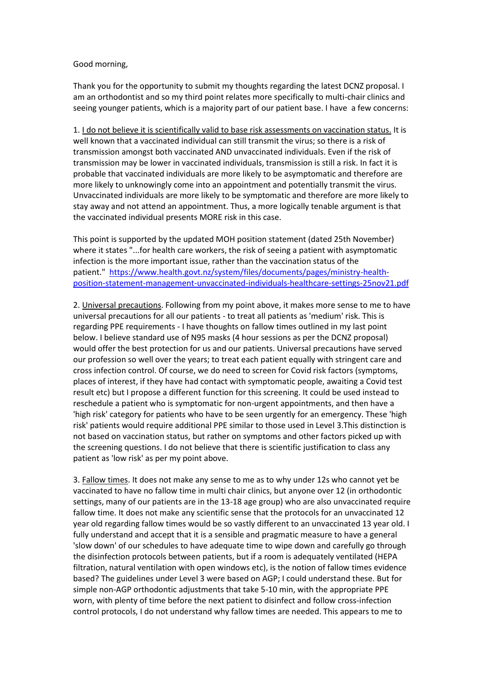## Good morning,

Thank you for the opportunity to submit my thoughts regarding the latest DCNZ proposal. I am an orthodontist and so my third point relates more specifically to multi-chair clinics and seeing younger patients, which is a majority part of our patient base. I have a few concerns:

1. I do not believe it is scientifically valid to base risk assessments on vaccination status. It is well known that a vaccinated individual can still transmit the virus; so there is a risk of transmission amongst both vaccinated AND unvaccinated individuals. Even if the risk of transmission may be lower in vaccinated individuals, transmission is still a risk. In fact it is probable that vaccinated individuals are more likely to be asymptomatic and therefore are more likely to unknowingly come into an appointment and potentially transmit the virus. Unvaccinated individuals are more likely to be symptomatic and therefore are more likely to stay away and not attend an appointment. Thus, a more logically tenable argument is that the vaccinated individual presents MORE risk in this case.

This point is supported by the updated MOH position statement (dated 25th November) where it states "...for health care workers, the risk of seeing a patient with asymptomatic infection is the more important issue, rather than the vaccination status of the patient." [https://www.health.govt.nz/system/files/documents/pages/ministry-health](https://scanmail.trustwave.com/?c=8934&d=jYCk4WY8jl3P3Y425-SisMOekowT22iwqgAd46xx1Q&u=https%3a%2f%2fwww%2ehealth%2egovt%2enz%2fsystem%2ffiles%2fdocuments%2fpages%2fministry-health-position-statement-management-unvaccinated-individuals-healthcare-settings-25nov21%2epdf)[position-statement-management-unvaccinated-individuals-healthcare-settings-25nov21.pdf](https://scanmail.trustwave.com/?c=8934&d=jYCk4WY8jl3P3Y425-SisMOekowT22iwqgAd46xx1Q&u=https%3a%2f%2fwww%2ehealth%2egovt%2enz%2fsystem%2ffiles%2fdocuments%2fpages%2fministry-health-position-statement-management-unvaccinated-individuals-healthcare-settings-25nov21%2epdf)

2. Universal precautions. Following from my point above, it makes more sense to me to have universal precautions for all our patients - to treat all patients as 'medium' risk. This is regarding PPE requirements - I have thoughts on fallow times outlined in my last point below. I believe standard use of N95 masks (4 hour sessions as per the DCNZ proposal) would offer the best protection for us and our patients. Universal precautions have served our profession so well over the years; to treat each patient equally with stringent care and cross infection control. Of course, we do need to screen for Covid risk factors (symptoms, places of interest, if they have had contact with symptomatic people, awaiting a Covid test result etc) but I propose a different function for this screening. It could be used instead to reschedule a patient who is symptomatic for non-urgent appointments, and then have a 'high risk' category for patients who have to be seen urgently for an emergency. These 'high risk' patients would require additional PPE similar to those used in Level 3.This distinction is not based on vaccination status, but rather on symptoms and other factors picked up with the screening questions. I do not believe that there is scientific justification to class any patient as 'low risk' as per my point above.

3. Fallow times. It does not make any sense to me as to why under 12s who cannot yet be vaccinated to have no fallow time in multi chair clinics, but anyone over 12 (in orthodontic settings, many of our patients are in the 13-18 age group) who are also unvaccinated require fallow time. It does not make any scientific sense that the protocols for an unvaccinated 12 year old regarding fallow times would be so vastly different to an unvaccinated 13 year old. I fully understand and accept that it is a sensible and pragmatic measure to have a general 'slow down' of our schedules to have adequate time to wipe down and carefully go through the disinfection protocols between patients, but if a room is adequately ventilated (HEPA filtration, natural ventilation with open windows etc), is the notion of fallow times evidence based? The guidelines under Level 3 were based on AGP; I could understand these. But for simple non-AGP orthodontic adjustments that take 5-10 min, with the appropriate PPE worn, with plenty of time before the next patient to disinfect and follow cross-infection control protocols, I do not understand why fallow times are needed. This appears to me to